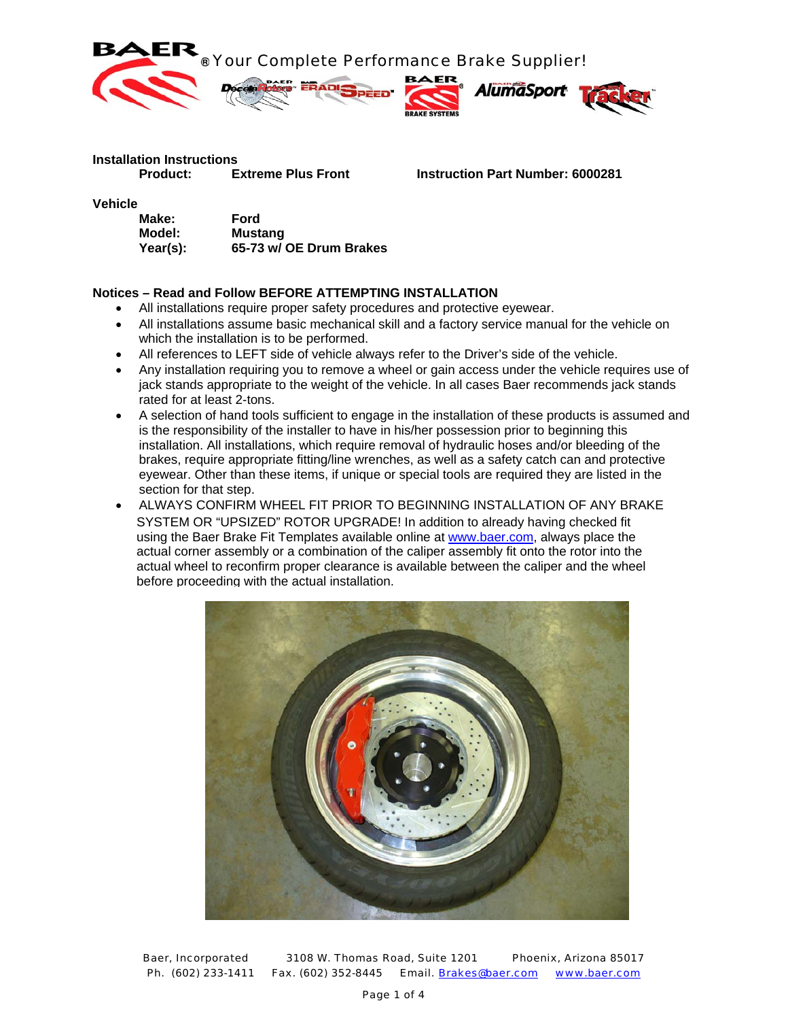

# **Installation Instructions**

 **Product: Extreme Plus Front Instruction Part Number: 6000281**

**Vehicle** 

| Make:    | Ford                    |
|----------|-------------------------|
| Model:   | <b>Mustang</b>          |
| Year(s): | 65-73 w/ OE Drum Brakes |

### **Notices – Read and Follow BEFORE ATTEMPTING INSTALLATION**

- All installations require proper safety procedures and protective eyewear.
- All installations assume basic mechanical skill and a factory service manual for the vehicle on which the installation is to be performed.
- All references to LEFT side of vehicle always refer to the Driver's side of the vehicle.
- Any installation requiring you to remove a wheel or gain access under the vehicle requires use of jack stands appropriate to the weight of the vehicle. In all cases Baer recommends jack stands rated for at least 2-tons.
- A selection of hand tools sufficient to engage in the installation of these products is assumed and is the responsibility of the installer to have in his/her possession prior to beginning this installation. All installations, which require removal of hydraulic hoses and/or bleeding of the brakes, require appropriate fitting/line wrenches, as well as a safety catch can and protective eyewear. Other than these items, if unique or special tools are required they are listed in the section for that step.
- ALWAYS CONFIRM WHEEL FIT PRIOR TO BEGINNING INSTALLATION OF ANY BRAKE SYSTEM OR "UPSIZED" ROTOR UPGRADE! In addition to already having checked fit using the Baer Brake Fit Templates available online at www.baer.com, always place the actual corner assembly or a combination of the caliper assembly fit onto the rotor into the actual wheel to reconfirm proper clearance is available between the caliper and the wheel before proceeding with the actual installation.



Baer, Incorporated 3108 W. Thomas Road, Suite 1201 Phoenix, Arizona 85017 Ph. (602) 233-1411 Fax. (602) 352-8445 Email. Brakes@baer.com www.baer.com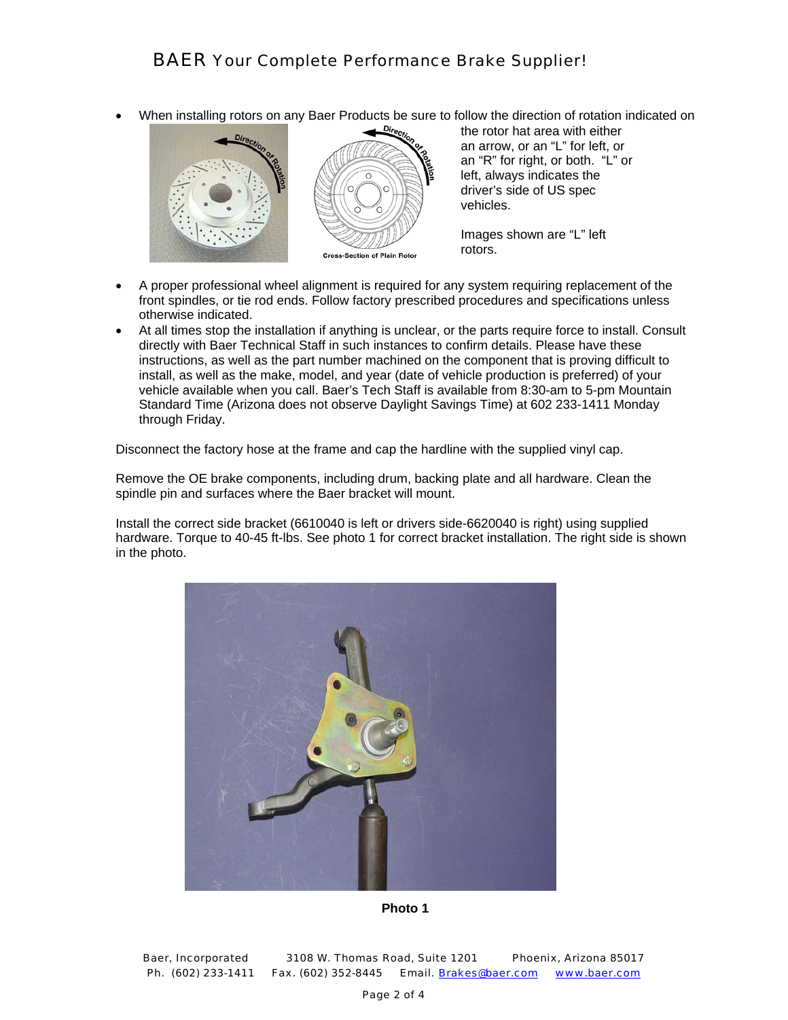• When installing rotors on any Baer Products be sure to follow the direction of rotation indicated on





the rotor hat area with either an arrow, or an "L" for left, or an "R" for right, or both. "L" or left, always indicates the driver's side of US spec vehicles.

Images shown are "L" left rotors.

- A proper professional wheel alignment is required for any system requiring replacement of the front spindles, or tie rod ends. Follow factory prescribed procedures and specifications unless otherwise indicated.
- At all times stop the installation if anything is unclear, or the parts require force to install. Consult directly with Baer Technical Staff in such instances to confirm details. Please have these instructions, as well as the part number machined on the component that is proving difficult to install, as well as the make, model, and year (date of vehicle production is preferred) of your vehicle available when you call. Baer's Tech Staff is available from 8:30-am to 5-pm Mountain Standard Time (Arizona does not observe Daylight Savings Time) at 602 233-1411 Monday through Friday.

Disconnect the factory hose at the frame and cap the hardline with the supplied vinyl cap.

Remove the OE brake components, including drum, backing plate and all hardware. Clean the spindle pin and surfaces where the Baer bracket will mount.

Install the correct side bracket (6610040 is left or drivers side-6620040 is right) using supplied hardware. Torque to 40-45 ft-lbs. See photo 1 for correct bracket installation. The right side is shown in the photo.



**Photo 1**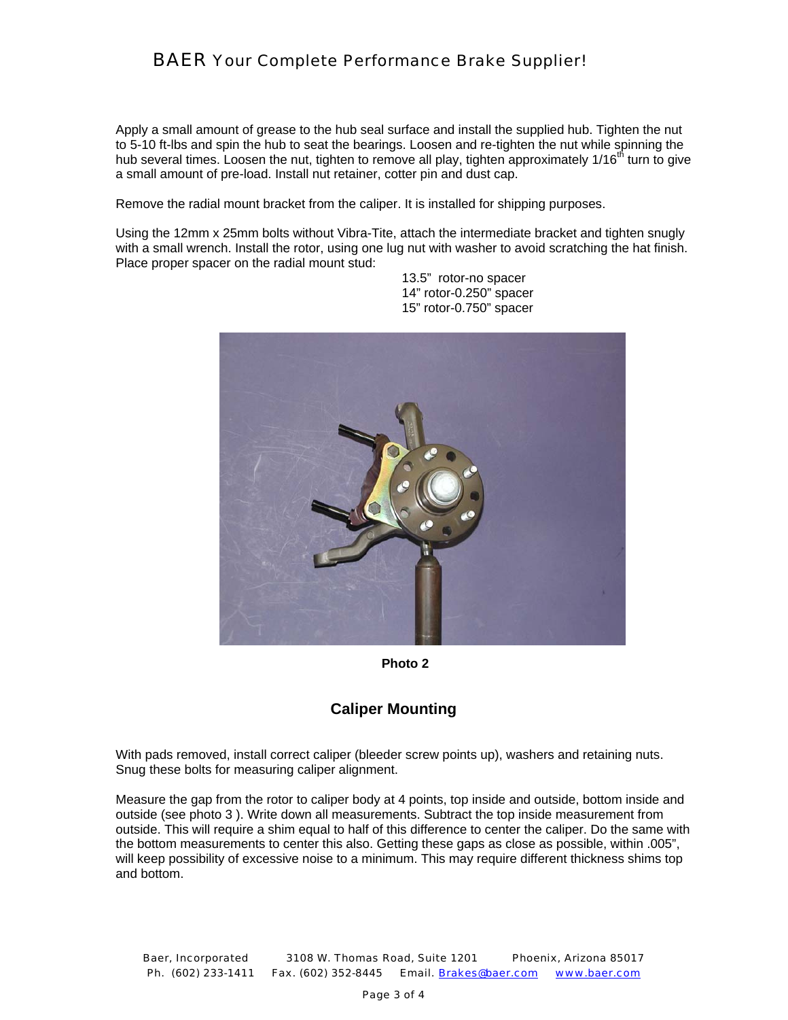## *BAER Your Complete Performance Brake Supplier!*

Apply a small amount of grease to the hub seal surface and install the supplied hub. Tighten the nut to 5-10 ft-lbs and spin the hub to seat the bearings. Loosen and re-tighten the nut while spinning the hub several times. Loosen the nut, tighten to remove all play, tighten approximately 1/16<sup>th</sup> turn to give a small amount of pre-load. Install nut retainer, cotter pin and dust cap.

Remove the radial mount bracket from the caliper. It is installed for shipping purposes.

Using the 12mm x 25mm bolts without Vibra-Tite, attach the intermediate bracket and tighten snugly with a small wrench. Install the rotor, using one lug nut with washer to avoid scratching the hat finish. Place proper spacer on the radial mount stud:



 13.5" rotor-no spacer 14" rotor-0.250" spacer 15" rotor-0.750" spacer

**Photo 2** 

## **Caliper Mounting**

With pads removed, install correct caliper (bleeder screw points up), washers and retaining nuts. Snug these bolts for measuring caliper alignment.

Measure the gap from the rotor to caliper body at 4 points, top inside and outside, bottom inside and outside (see photo 3 ). Write down all measurements. Subtract the top inside measurement from outside. This will require a shim equal to half of this difference to center the caliper. Do the same with the bottom measurements to center this also. Getting these gaps as close as possible, within .005", will keep possibility of excessive noise to a minimum. This may require different thickness shims top and bottom.